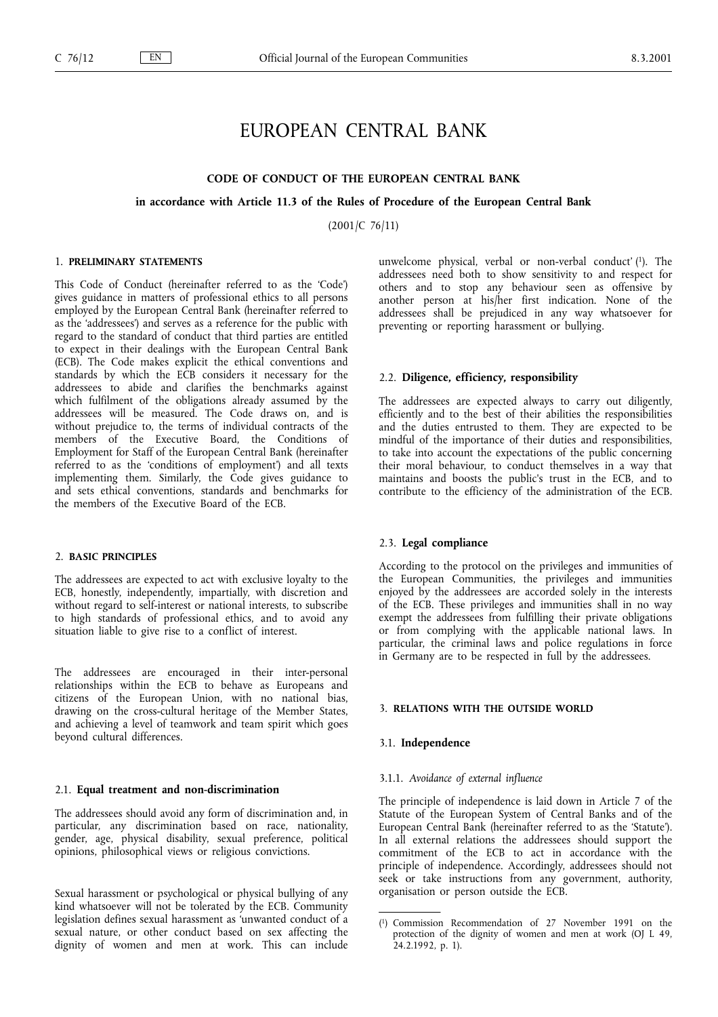# EUROPEAN CENTRAL BANK

# CODE OF CONDUCT OF THE EUROPEAN CENTRAL BANK

### in accordance with Article 11.3 of the Rules of Procedure of the European Central Bank

(2001/C 76/11)

# 1. PRELIMINARY STATEMENTS

This Code of Conduct (hereinafter referred to as the 'Code') gives guidance in matters of professional ethics to all persons employed by the European Central Bank (hereinafter referred to as the 'addressees') and serves as a reference for the public with regard to the standard of conduct that third parties are entitled to expect in their dealings with the European Central Bank (ECB). The Code makes explicit the ethical conventions and standards by which the ECB considers it necessary for the addressees to abide and clarifies the benchmarks against which fulfilment of the obligations already assumed by the addressees will be measured. The Code draws on, and is without prejudice to, the terms of individual contracts of the members of the Executive Board, the Conditions of Employment for Staff of the European Central Bank (hereinafter referred to as the 'conditions of employment') and all texts implementing them. Similarly, the Code gives guidance to and sets ethical conventions, standards and benchmarks for the members of the Executive Board of the ECB.

### 2. BASIC PRINCIPLES

The addressees are expected to act with exclusive loyalty to the ECB, honestly, independently, impartially, with discretion and without regard to self-interest or national interests, to subscribe to high standards of professional ethics, and to avoid any situation liable to give rise to a conflict of interest.

The addressees are encouraged in their inter-personal relationships within the ECB to behave as Europeans and citizens of the European Union, with no national bias, drawing on the cross-cultural heritage of the Member States, and achieving a level of teamwork and team spirit which goes beyond cultural differences.

## 2.1. Equal treatment and non-discrimination

The addressees should avoid any form of discrimination and, in particular, any discrimination based on race, nationality, gender, age, physical disability, sexual preference, political opinions, philosophical views or religious convictions.

Sexual harassment or psychological or physical bullying of any kind whatsoever will not be tolerated by the ECB. Community legislation defines sexual harassment as 'unwanted conduct of a sexual nature, or other conduct based on sex affecting the dignity of women and men at work. This can include unwelcome physical, verbal or non-verbal conduct' (1). The addressees need both to show sensitivity to and respect for others and to stop any behaviour seen as offensive by another person at his/her first indication. None of the addressees shall be prejudiced in any way whatsoever for preventing or reporting harassment or bullying.

# 2.2. Diligence, efficiency, responsibility

The addressees are expected always to carry out diligently, efficiently and to the best of their abilities the responsibilities and the duties entrusted to them. They are expected to be mindful of the importance of their duties and responsibilities, to take into account the expectations of the public concerning their moral behaviour, to conduct themselves in a way that maintains and boosts the public's trust in the ECB, and to contribute to the efficiency of the administration of the ECB.

## 2.3. Legal compliance

According to the protocol on the privileges and immunities of the European Communities, the privileges and immunities enjoyed by the addressees are accorded solely in the interests of the ECB. These privileges and immunities shall in no way exempt the addressees from fulfilling their private obligations or from complying with the applicable national laws. In particular, the criminal laws and police regulations in force in Germany are to be respected in full by the addressees.

# 3. RELATIONS WITH THE OUTSIDE WORLD

### 3.1. Independence

### 3.1.1. Avoidance of external influence

The principle of independence is laid down in Article 7 of the Statute of the European System of Central Banks and of the European Central Bank (hereinafter referred to as the 'Statute'). In all external relations the addressees should support the commitment of the ECB to act in accordance with the principle of independence. Accordingly, addressees should not seek or take instructions from any government, authority, organisation or person outside the ECB.

<sup>(</sup> 1) Commission Recommendation of 27 November 1991 on the protection of the dignity of women and men at work (OJ L 49, 24.2.1992, p. 1).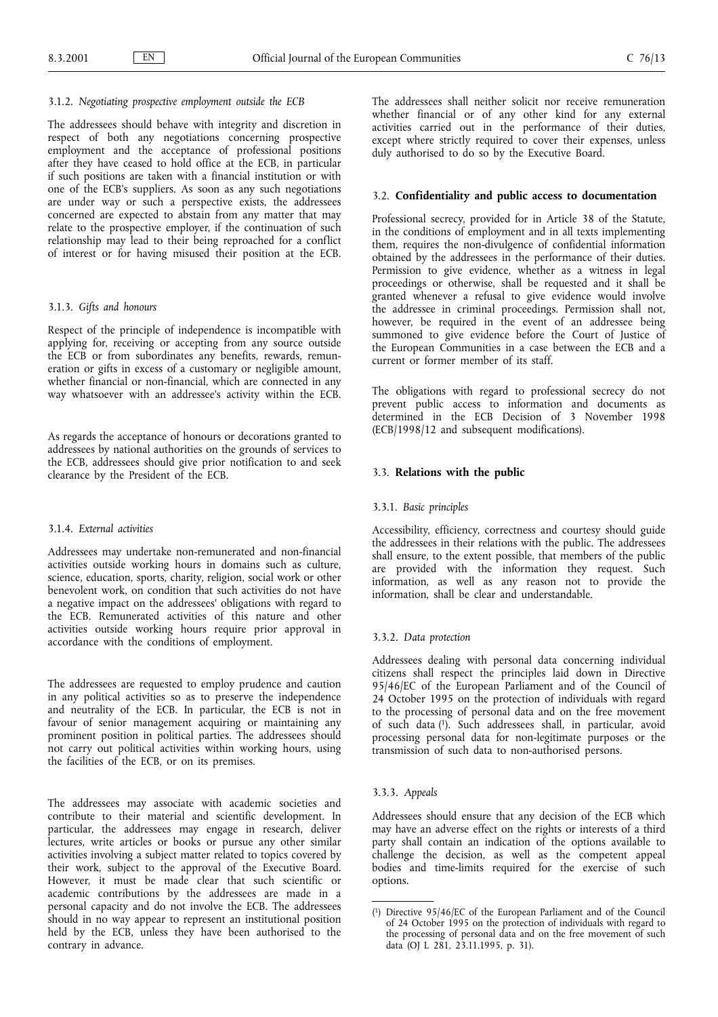# 3.1.2. Negotiating prospective employment outside the ECB

The addressees should behave with integrity and discretion in respect of both any negotiations concerning prospective employment and the acceptance of professional positions after they have ceased to hold office at the ECB, in particular if such positions are taken with a financial institution or with one of the ECB's suppliers. As soon as any such negotiations are under way or such a perspective exists, the addressees concerned are expected to abstain from any matter that may relate to the prospective employer, if the continuation of such relationship may lead to their being reproached for a conflict of interest or for having misused their position at the ECB.

### 3.1.3. Gifts and honours

Respect of the principle of independence is incompatible with applying for, receiving or accepting from any source outside the ECB or from subordinates any benefits, rewards, remuneration or gifts in excess of a customary or negligible amount, whether financial or non-financial, which are connected in any way whatsoever with an addressee's activity within the ECB.

As regards the acceptance of honours or decorations granted to addressees by national authorities on the grounds of services to the ECB, addressees should give prior notification to and seek clearance by the President of the ECB.

### 3.1.4. External activities

Addressees may undertake non-remunerated and non-financial activities outside working hours in domains such as culture, science, education, sports, charity, religion, social work or other benevolent work, on condition that such activities do not have a negative impact on the addressees' obligations with regard to the ECB. Remunerated activities of this nature and other activities outside working hours require prior approval in accordance with the conditions of employment.

The addressees are requested to employ prudence and caution in any political activities so as to preserve the independence and neutrality of the ECB. In particular, the ECB is not in favour of senior management acquiring or maintaining any prominent position in political parties. The addressees should not carry out political activities within working hours, using the facilities of the ECB, or on its premises.

The addressees may associate with academic societies and contribute to their material and scientific development. In particular, the addressees may engage in research, deliver lectures, write articles or books or pursue any other similar activities involving a subject matter related to topics covered by their work, subject to the approval of the Executive Board. However, it must be made clear that such scientific or academic contributions by the addressees are made in a personal capacity and do not involve the ECB. The addressees should in no way appear to represent an institutional position held by the ECB, unless they have been authorised to the contrary in advance.

The addressees shall neither solicit nor receive remuneration whether financial or of any other kind for any external activities carried out in the performance of their duties, except where strictly required to cover their expenses, unless duly authorised to do so by the Executive Board.

### 3.2. Confidentiality and public access to documentation

Professional secrecy, provided for in Article 38 of the Statute, in the conditions of employment and in all texts implementing them, requires the non-divulgence of confidential information obtained by the addressees in the performance of their duties. Permission to give evidence, whether as a witness in legal proceedings or otherwise, shall be requested and it shall be granted whenever a refusal to give evidence would involve the addressee in criminal proceedings. Permission shall not, however, be required in the event of an addressee being summoned to give evidence before the Court of Justice of the European Communities in a case between the ECB and a current or former member of its staff.

The obligations with regard to professional secrecy do not prevent public access to information and documents as determined in the ECB Decision of 3 November 1998 (ECB/1998/12 and subsequent modifications).

# 3.3. Relations with the public

### 3.3.1. Basic principles

Accessibility, efficiency, correctness and courtesy should guide the addressees in their relations with the public. The addressees shall ensure, to the extent possible, that members of the public are provided with the information they request. Such information, as well as any reason not to provide the information, shall be clear and understandable.

#### 3.3.2. Data protection

Addressees dealing with personal data concerning individual citizens shall respect the principles laid down in Directive 95/46/EC of the European Parliament and of the Council of 24 October 1995 on the protection of individuals with regard to the processing of personal data and on the free movement of such data (1). Such addressees shall, in particular, avoid processing personal data for non-legitimate purposes or the transmission of such data to non-authorised persons.

# 3.3.3. Appeals

Addressees should ensure that any decision of the ECB which may have an adverse effect on the rights or interests of a third party shall contain an indication of the options available to challenge the decision, as well as the competent appeal bodies and time-limits required for the exercise of such options.

<sup>(</sup> 1) Directive 95/46/EC of the European Parliament and of the Council of 24 October 1995 on the protection of individuals with regard to the processing of personal data and on the free movement of such data (OJ L 281, 23.11.1995, p. 31).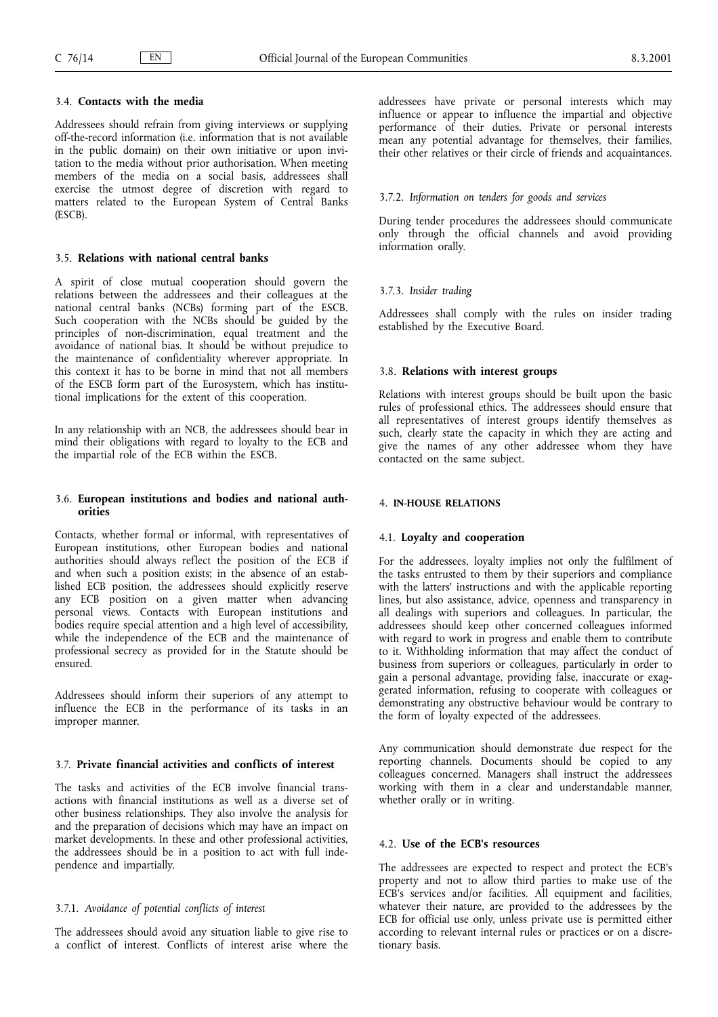# 3.4. Contacts with the media

Addressees should refrain from giving interviews or supplying off-the-record information (i.e. information that is not available in the public domain) on their own initiative or upon invitation to the media without prior authorisation. When meeting members of the media on a social basis, addressees shall exercise the utmost degree of discretion with regard to matters related to the European System of Central Banks (ESCB).

# 3.5. Relations with national central banks

A spirit of close mutual cooperation should govern the relations between the addressees and their colleagues at the national central banks (NCBs) forming part of the ESCB. Such cooperation with the NCBs should be guided by the principles of non-discrimination, equal treatment and the avoidance of national bias. It should be without prejudice to the maintenance of confidentiality wherever appropriate. In this context it has to be borne in mind that not all members of the ESCB form part of the Eurosystem, which has institutional implications for the extent of this cooperation.

In any relationship with an NCB, the addressees should bear in mind their obligations with regard to loyalty to the ECB and the impartial role of the ECB within the ESCB.

# 3.6. European institutions and bodies and national authorities

Contacts, whether formal or informal, with representatives of European institutions, other European bodies and national authorities should always reflect the position of the ECB if and when such a position exists; in the absence of an established ECB position, the addressees should explicitly reserve any ECB position on a given matter when advancing personal views. Contacts with European institutions and bodies require special attention and a high level of accessibility, while the independence of the ECB and the maintenance of professional secrecy as provided for in the Statute should be ensured.

Addressees should inform their superiors of any attempt to influence the ECB in the performance of its tasks in an improper manner.

# 3.7. Private financial activities and conflicts of interest

The tasks and activities of the ECB involve financial transactions with financial institutions as well as a diverse set of other business relationships. They also involve the analysis for and the preparation of decisions which may have an impact on market developments. In these and other professional activities, the addressees should be in a position to act with full independence and impartially.

# 3.7.1. Avoidance of potential conflicts of interest

The addressees should avoid any situation liable to give rise to a conflict of interest. Conflicts of interest arise where the addressees have private or personal interests which may influence or appear to influence the impartial and objective performance of their duties. Private or personal interests mean any potential advantage for themselves, their families, their other relatives or their circle of friends and acquaintances.

## 3.7.2. Information on tenders for goods and services

During tender procedures the addressees should communicate only through the official channels and avoid providing information orally.

#### 3.7.3. Insider trading

Addressees shall comply with the rules on insider trading established by the Executive Board.

#### 3.8. Relations with interest groups

Relations with interest groups should be built upon the basic rules of professional ethics. The addressees should ensure that all representatives of interest groups identify themselves as such, clearly state the capacity in which they are acting and give the names of any other addressee whom they have contacted on the same subject.

# 4. IN-HOUSE RELATIONS

### 4.1. Loyalty and cooperation

For the addressees, loyalty implies not only the fulfilment of the tasks entrusted to them by their superiors and compliance with the latters' instructions and with the applicable reporting lines, but also assistance, advice, openness and transparency in all dealings with superiors and colleagues. In particular, the addressees should keep other concerned colleagues informed with regard to work in progress and enable them to contribute to it. Withholding information that may affect the conduct of business from superiors or colleagues, particularly in order to gain a personal advantage, providing false, inaccurate or exaggerated information, refusing to cooperate with colleagues or demonstrating any obstructive behaviour would be contrary to the form of loyalty expected of the addressees.

Any communication should demonstrate due respect for the reporting channels. Documents should be copied to any colleagues concerned. Managers shall instruct the addressees working with them in a clear and understandable manner, whether orally or in writing.

### 4.2. Use of the ECB's resources

The addressees are expected to respect and protect the ECB's property and not to allow third parties to make use of the ECB's services and/or facilities. All equipment and facilities, whatever their nature, are provided to the addressees by the ECB for official use only, unless private use is permitted either according to relevant internal rules or practices or on a discretionary basis.